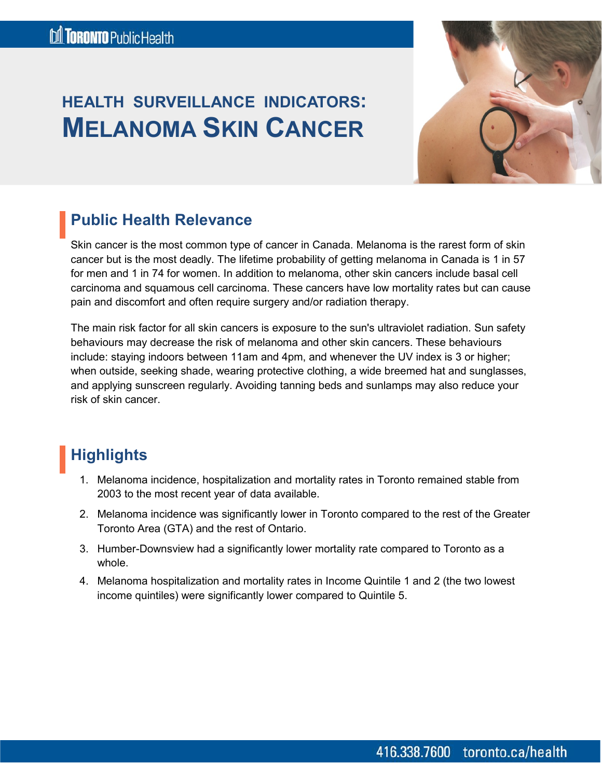# **HEALTH SURVEILLANCE INDICATORS: MELANOMA SKIN CANCER**



### **Public Health Relevance**

Skin cancer is the most common type of cancer in Canada. Melanoma is the rarest form of skin cancer but is the most deadly. The lifetime probability of getting melanoma in Canada is 1 in 57 for men and 1 in 74 for women. In addition to melanoma, other skin cancers include basal cell carcinoma and squamous cell carcinoma. These cancers have low mortality rates but can cause pain and discomfort and often require surgery and/or radiation therapy.

The main risk factor for all skin cancers is exposure to the sun's ultraviolet radiation. Sun safety behaviours may decrease the risk of melanoma and other skin cancers. These behaviours include: staying indoors between 11am and 4pm, and whenever the UV index is 3 or higher; when outside, seeking shade, wearing protective clothing, a wide breemed hat and sunglasses, and applying sunscreen regularly. Avoiding tanning beds and sunlamps may also reduce your risk of skin cancer.

# **Highlights.**

- 1. Melanoma incidence, hospitalization and mortality rates in Toronto remained stable from 2003 to the most recent year of data available.
- 2. Melanoma incidence was significantly lower in Toronto compared to the rest of the Greater Toronto Area (GTA) and the rest of Ontario.
- 3. Humber-Downsview had a significantly lower mortality rate compared to Toronto as a whole.
- 4. Melanoma hospitalization and mortality rates in Income Quintile 1 and 2 (the two lowest income quintiles) were significantly lower compared to Quintile 5.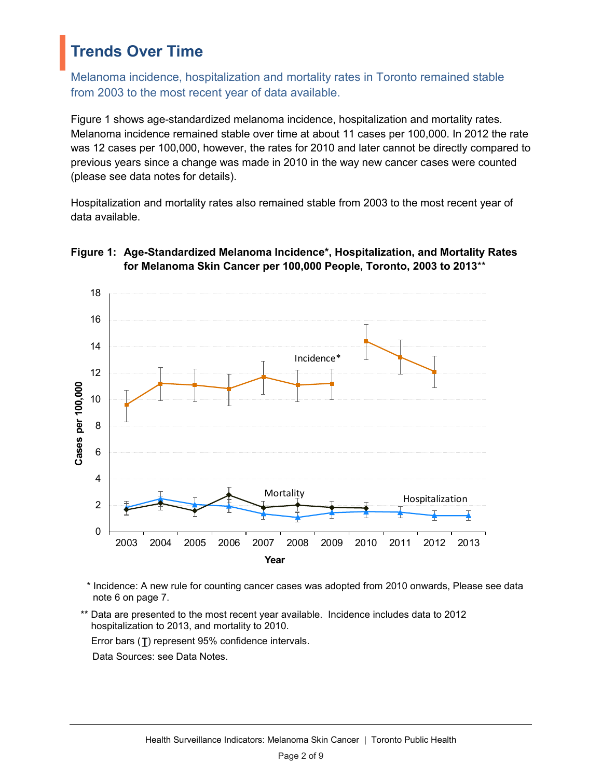### **Trends Over Time**

Melanoma incidence, hospitalization and mortality rates in Toronto remained stable from 2003 to the most recent year of data available.

Figure 1 shows age-standardized melanoma incidence, hospitalization and mortality rates. Melanoma incidence remained stable over time at about 11 cases per 100,000. In 2012 the rate was 12 cases per 100,000, however, the rates for 2010 and later cannot be directly compared to previous years since a change was made in 2010 in the way new cancer cases were counted (please see data notes for details).

Hospitalization and mortality rates also remained stable from 2003 to the most recent year of data available.



#### **Figure 1: Age-Standardized Melanoma Incidence\*, Hospitalization, and Mortality Rates for Melanoma Skin Cancer per 100,000 People, Toronto, 2003 to 2013**\*\*

- \* Incidence: A new rule for counting cancer cases was adopted from 2010 onwards, Please see data note 6 on page 7.
- Data are presented to the most recent year available. Incidence includes data to 2012 hospitalization to 2013, and mortality to 2010.

Error bars  $(I)$  represent 95% confidence intervals.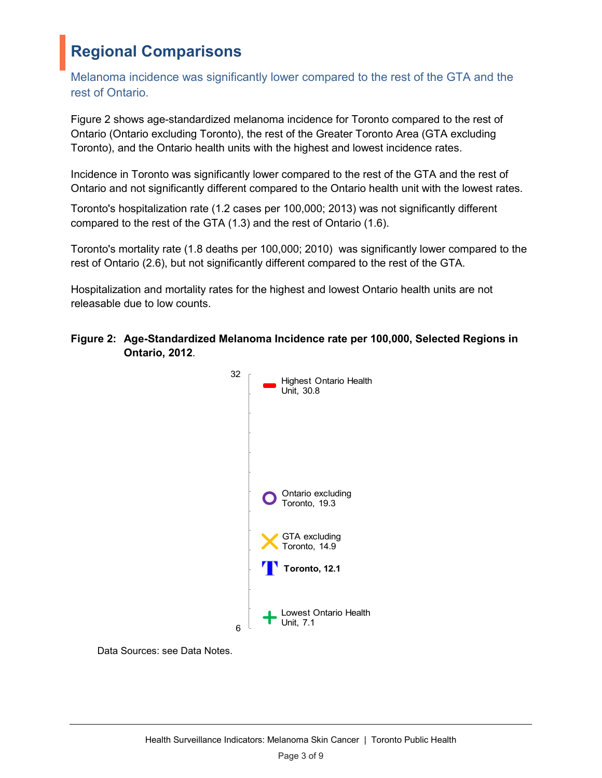# **Regional Comparisons**

Melanoma incidence was significantly lower compared to the rest of the GTA and the rest of Ontario.

Figure 2 shows age-standardized melanoma incidence for Toronto compared to the rest of Ontario (Ontario excluding Toronto), the rest of the Greater Toronto Area (GTA excluding Toronto), and the Ontario health units with the highest and lowest incidence rates.

Incidence in Toronto was significantly lower compared to the rest of the GTA and the rest of Ontario and not significantly different compared to the Ontario health unit with the lowest rates.

Toronto's hospitalization rate (1.2 cases per 100,000; 2013) was not significantly different compared to the rest of the GTA (1.3) and the rest of Ontario (1.6).

Toronto's mortality rate (1.8 deaths per 100,000; 2010) was significantly lower compared to the rest of Ontario (2.6), but not significantly different compared to the rest of the GTA.

Hospitalization and mortality rates for the highest and lowest Ontario health units are not releasable due to low counts.



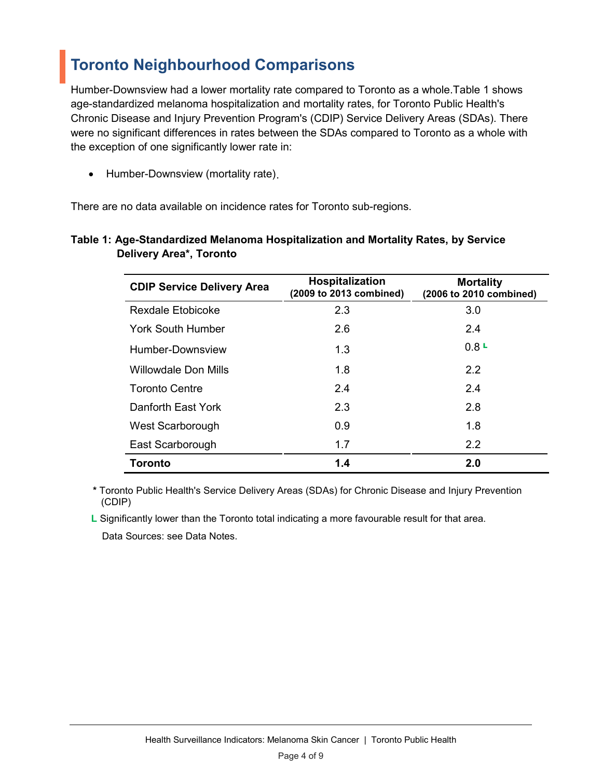### **Toronto Neighbourhood Comparisons**

Humber-Downsview had a lower mortality rate compared to Toronto as a whole.Table 1 shows age-standardized melanoma hospitalization and mortality rates, for Toronto Public Health's Chronic Disease and Injury Prevention Program's (CDIP) Service Delivery Areas (SDAs). There were no significant differences in rates between the SDAs compared to Toronto as a whole with the exception of one significantly lower rate in:

• Humber-Downsview (mortality rate) .

There are no data available on incidence rates for Toronto sub-regions.

#### **Table 1: Age-Standardized Melanoma Hospitalization and Mortality Rates, by Service Delivery Area\*, Toronto**

| <b>CDIP Service Delivery Area</b> | <b>Hospitalization</b><br>(2009 to 2013 combined) | <b>Mortality</b><br>(2006 to 2010 combined) |
|-----------------------------------|---------------------------------------------------|---------------------------------------------|
| <b>Rexdale Etobicoke</b>          | 2.3                                               | 3.0                                         |
| York South Humber                 | 2.6                                               | 2.4                                         |
| Humber-Downsview                  | 1.3                                               | 0.8L                                        |
| Willowdale Don Mills              | 1.8                                               | 2.2                                         |
| <b>Toronto Centre</b>             | 2.4                                               | 2.4                                         |
| Danforth East York                | 2.3                                               | 2.8                                         |
| West Scarborough                  | 0.9                                               | 1.8                                         |
| East Scarborough                  | 1.7                                               | 2.2                                         |
| <b>Toronto</b>                    | 1.4                                               | 2.0                                         |

**\*** Toronto Public Health's Service Delivery Areas (SDAs) for Chronic Disease and Injury Prevention (CDIP)

 **L** Significantly lower than the Toronto total indicating a more favourable result for that area. Data Sources: see Data Notes.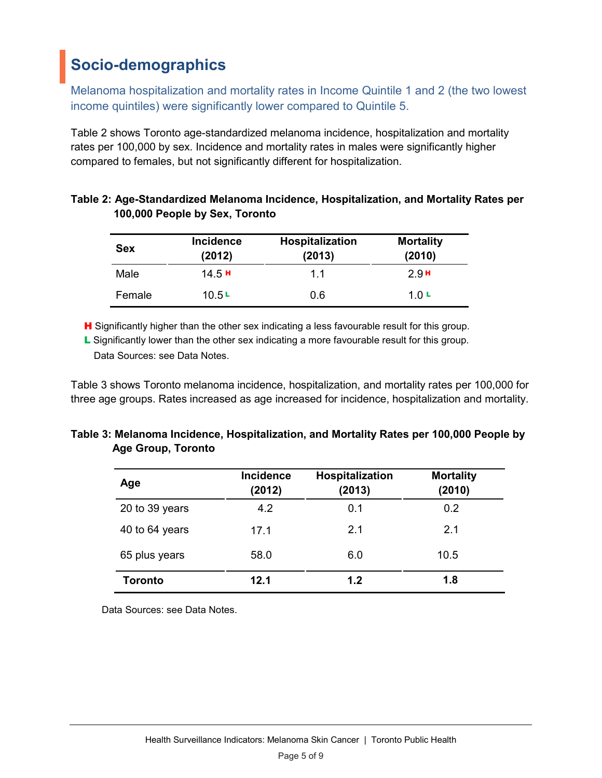# **Socio-demographics**

Melanoma hospitalization and mortality rates in Income Quintile 1 and 2 (the two lowest income quintiles) were significantly lower compared to Quintile 5.

Table 2 shows Toronto age-standardized melanoma incidence, hospitalization and mortality rates per 100,000 by sex. Incidence and mortality rates in males were significantly higher compared to females, but not significantly different for hospitalization.

| <b>Sex</b> | <b>Incidence</b><br>(2012) | Hospitalization<br>(2013) | <b>Mortality</b><br>(2010) |
|------------|----------------------------|---------------------------|----------------------------|
| Male       | 14.5H                      | 11                        | 2.9H                       |
| Female     | 10.5L                      | 0.6                       | 1 N L                      |

| Table 2: Age-Standardized Melanoma Incidence, Hospitalization, and Mortality Rates per |  |
|----------------------------------------------------------------------------------------|--|
| 100,000 People by Sex, Toronto                                                         |  |

H Significantly higher than the other sex indicating a less favourable result for this group.

L Significantly lower than the other sex indicating a more favourable result for this group. Data Sources: see Data Notes.

Table 3 shows Toronto melanoma incidence, hospitalization, and mortality rates per 100,000 for three age groups. Rates increased as age increased for incidence, hospitalization and mortality.

| Table 3: Melanoma Incidence, Hospitalization, and Mortality Rates per 100,000 People by |  |  |
|-----------------------------------------------------------------------------------------|--|--|
| Age Group, Toronto                                                                      |  |  |

| Age            | <b>Incidence</b><br>(2012) | Hospitalization<br>(2013) | <b>Mortality</b><br>(2010) |
|----------------|----------------------------|---------------------------|----------------------------|
| 20 to 39 years | 4.2                        | 0.1                       | 0.2                        |
| 40 to 64 years | 17.1                       | 2.1                       | 2.1                        |
| 65 plus years  | 58.0                       | 6.0                       | 10.5                       |
| Toronto        | 12.1                       | 1.2                       | 1.8                        |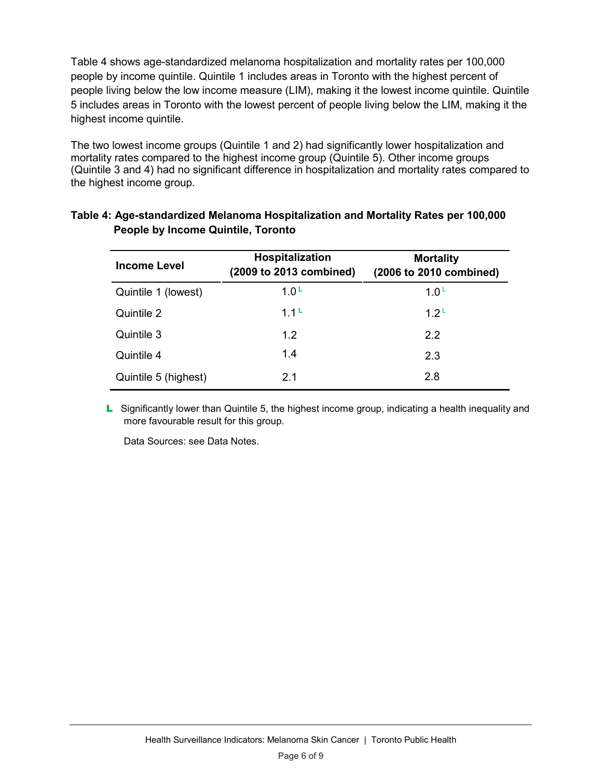Table 4 shows age-standardized melanoma hospitalization and mortality rates per 100,000 people by income quintile. Quintile 1 includes areas in Toronto with the highest percent of people living below the low income measure (LIM), making it the lowest income quintile. Quintile 5 includes areas in Toronto with the lowest percent of people living below the LIM, making it the highest income quintile.

The two lowest income groups (Quintile 1 and 2) had significantly lower hospitalization and mortality rates compared to the highest income group (Quintile 5). Other income groups (Quintile 3 and 4) had no significant difference in hospitalization and mortality rates compared to the highest income group.

| <b>Income Level</b>  | Hospitalization<br>(2009 to 2013 combined) | <b>Mortality</b><br>(2006 to 2010 combined) |
|----------------------|--------------------------------------------|---------------------------------------------|
| Quintile 1 (lowest)  | 1.0 <sup>L</sup>                           | 1.0 <sup>L</sup>                            |
| Quintile 2           | 1.1 <sup>L</sup>                           | 1.2 <sup>L</sup>                            |
| Quintile 3           | 1.2                                        | 2.2                                         |
| Quintile 4           | 1.4                                        | 2.3                                         |
| Quintile 5 (highest) | 2.1                                        | 2.8                                         |

#### **Table 4: Age-standardized Melanoma Hospitalization and Mortality Rates per 100,000 People by Income Quintile, Toronto**

L Significantly lower than Quintile 5, the highest income group, indicating a health inequality and more favourable result for this group.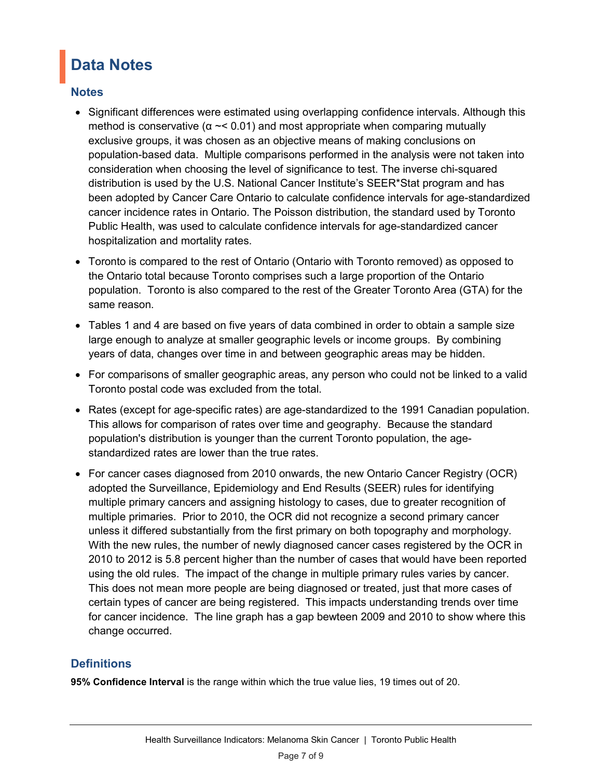# **Data Notes**

#### **Notes**

- Significant differences were estimated using overlapping confidence intervals. Although this method is conservative ( $α \sim$  0.01) and most appropriate when comparing mutually exclusive groups, it was chosen as an objective means of making conclusions on population-based data. Multiple comparisons performed in the analysis were not taken into consideration when choosing the level of significance to test. The inverse chi-squared distribution is used by the U.S. National Cancer Institute's SEER\*Stat program and has been adopted by Cancer Care Ontario to calculate confidence intervals for age-standardized cancer incidence rates in Ontario. The Poisson distribution, the standard used by Toronto Public Health, was used to calculate confidence intervals for age-standardized cancer hospitalization and mortality rates.
- Toronto is compared to the rest of Ontario (Ontario with Toronto removed) as opposed to the Ontario total because Toronto comprises such a large proportion of the Ontario population. Toronto is also compared to the rest of the Greater Toronto Area (GTA) for the same reason.
- Tables 1 and 4 are based on five years of data combined in order to obtain a sample size large enough to analyze at smaller geographic levels or income groups. By combining years of data, changes over time in and between geographic areas may be hidden.
- For comparisons of smaller geographic areas, any person who could not be linked to a valid Toronto postal code was excluded from the total.
- Rates (except for age-specific rates) are age-standardized to the 1991 Canadian population. This allows for comparison of rates over time and geography. Because the standard population's distribution is younger than the current Toronto population, the agestandardized rates are lower than the true rates.
- For cancer cases diagnosed from 2010 onwards, the new Ontario Cancer Registry (OCR) adopted the Surveillance, Epidemiology and End Results (SEER) rules for identifying multiple primary cancers and assigning histology to cases, due to greater recognition of multiple primaries. Prior to 2010, the OCR did not recognize a second primary cancer unless it differed substantially from the first primary on both topography and morphology. With the new rules, the number of newly diagnosed cancer cases registered by the OCR in 2010 to 2012 is 5.8 percent higher than the number of cases that would have been reported using the old rules. The impact of the change in multiple primary rules varies by cancer. This does not mean more people are being diagnosed or treated, just that more cases of certain types of cancer are being registered. This impacts understanding trends over time for cancer incidence. The line graph has a gap bewteen 2009 and 2010 to show where this change occurred.

### **Definitions**

**95% Confidence Interval** is the range within which the true value lies, 19 times out of 20.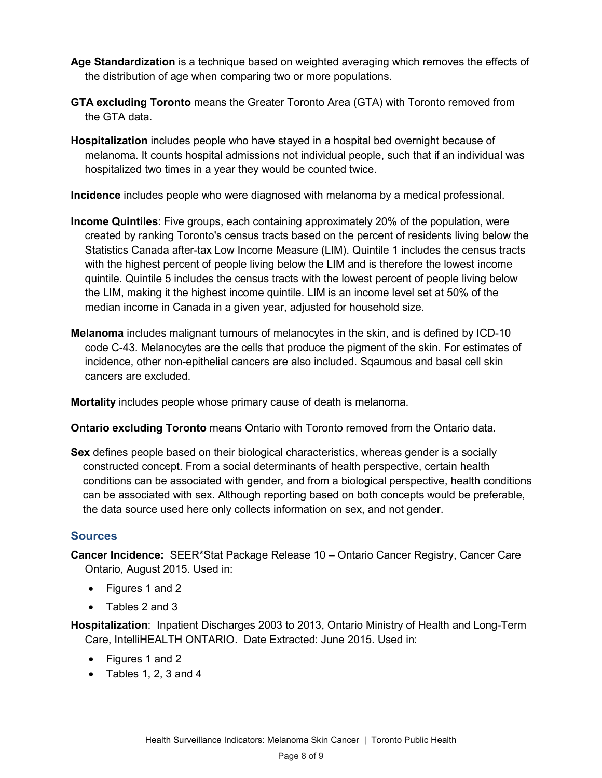- **Age Standardization** is a technique based on weighted averaging which removes the effects of the distribution of age when comparing two or more populations.
- **GTA excluding Toronto** means the Greater Toronto Area (GTA) with Toronto removed from the GTA data.
- **Hospitalization** includes people who have stayed in a hospital bed overnight because of melanoma. It counts hospital admissions not individual people, such that if an individual was hospitalized two times in a year they would be counted twice.

**Incidence** includes people who were diagnosed with melanoma by a medical professional.

- **Income Quintiles**: Five groups, each containing approximately 20% of the population, were created by ranking Toronto's census tracts based on the percent of residents living below the Statistics Canada after-tax Low Income Measure (LIM). Quintile 1 includes the census tracts with the highest percent of people living below the LIM and is therefore the lowest income quintile. Quintile 5 includes the census tracts with the lowest percent of people living below the LIM, making it the highest income quintile. LIM is an income level set at 50% of the median income in Canada in a given year, adjusted for household size.
- **Melanoma** includes malignant tumours of melanocytes in the skin, and is defined by ICD-10 code C-43. Melanocytes are the cells that produce the pigment of the skin. For estimates of incidence, other non-epithelial cancers are also included. Sqaumous and basal cell skin cancers are excluded.

**Mortality** includes people whose primary cause of death is melanoma.

**Ontario excluding Toronto** means Ontario with Toronto removed from the Ontario data.

**Sex** defines people based on their biological characteristics, whereas gender is a socially constructed concept. From a social determinants of health perspective, certain health conditions can be associated with gender, and from a biological perspective, health conditions can be associated with sex. Although reporting based on both concepts would be preferable, the data source used here only collects information on sex, and not gender.

### **Sources**

**Cancer Incidence:** SEER\*Stat Package Release 10 – Ontario Cancer Registry, Cancer Care Ontario, August 2015. Used in:

- Figures 1 and 2
- Tables 2 and 3

**Hospitalization**: Inpatient Discharges 2003 to 2013, Ontario Ministry of Health and Long-Term Care, IntelliHEALTH ONTARIO. Date Extracted: June 2015. Used in:

- Figures 1 and 2
- Tables 1, 2, 3 and 4